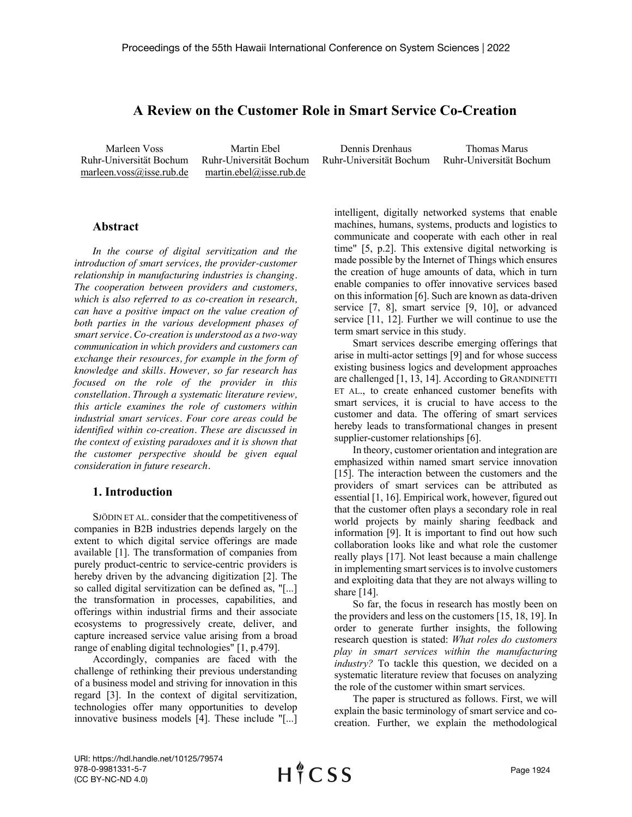# **A Review on the Customer Role in Smart Service Co-Creation**

Marleen Voss Ruhr-Universität Bochum marleen.voss@isse.rub.de

Martin Ebel Ruhr-Universität Bochum martin.ebel@isse.rub.de

Dennis Drenhaus Ruhr-Universität Bochum Thomas Marus

# Ruhr-Universität Bochum

## **Abstract**

*In the course of digital servitization and the introduction of smart services, the provider-customer relationship in manufacturing industries is changing. The cooperation between providers and customers, which is also referred to as co-creation in research, can have a positive impact on the value creation of both parties in the various development phases of smart service. Co-creation is understood as a two-way communication in which providers and customers can exchange their resources, for example in the form of knowledge and skills. However, so far research has focused on the role of the provider in this constellation. Through a systematic literature review, this article examines the role of customers within industrial smart services. Four core areas could be identified within co-creation. These are discussed in the context of existing paradoxes and it is shown that the customer perspective should be given equal consideration in future research.*

#### **1. Introduction**

SJÖDIN ET AL. consider that the competitiveness of companies in B2B industries depends largely on the extent to which digital service offerings are made available [1]. The transformation of companies from purely product-centric to service-centric providers is hereby driven by the advancing digitization [2]. The so called digital servitization can be defined as, "[...] the transformation in processes, capabilities, and offerings within industrial firms and their associate ecosystems to progressively create, deliver, and capture increased service value arising from a broad range of enabling digital technologies" [1, p.479].

Accordingly, companies are faced with the challenge of rethinking their previous understanding of a business model and striving for innovation in this regard [3]. In the context of digital servitization, technologies offer many opportunities to develop innovative business models [4]. These include "[...]

intelligent, digitally networked systems that enable machines, humans, systems, products and logistics to communicate and cooperate with each other in real time" [5, p.2]. This extensive digital networking is made possible by the Internet of Things which ensures the creation of huge amounts of data, which in turn enable companies to offer innovative services based on this information [6]. Such are known as data-driven service [7, 8], smart service [9, 10], or advanced service [11, 12]. Further we will continue to use the term smart service in this study.

Smart services describe emerging offerings that arise in multi-actor settings [9] and for whose success existing business logics and development approaches are challenged [1, 13, 14]. According to GRANDINETTI ET AL., to create enhanced customer benefits with smart services, it is crucial to have access to the customer and data. The offering of smart services hereby leads to transformational changes in present supplier-customer relationships [6].

In theory, customer orientation and integration are emphasized within named smart service innovation [15]. The interaction between the customers and the providers of smart services can be attributed as essential [1, 16]. Empirical work, however, figured out that the customer often plays a secondary role in real world projects by mainly sharing feedback and information [9]. It is important to find out how such collaboration looks like and what role the customer really plays [17]. Not least because a main challenge in implementing smart services is to involve customers and exploiting data that they are not always willing to share [14].

So far, the focus in research has mostly been on the providers and less on the customers [15, 18, 19]. In order to generate further insights, the following research question is stated: *What roles do customers play in smart services within the manufacturing industry?* To tackle this question, we decided on a systematic literature review that focuses on analyzing the role of the customer within smart services.

The paper is structured as follows. First, we will explain the basic terminology of smart service and cocreation. Further, we explain the methodological

URI: https://hdl.handle.net/10125/79574 978-0-9981331-5-7 (CC BY-NC-ND 4.0)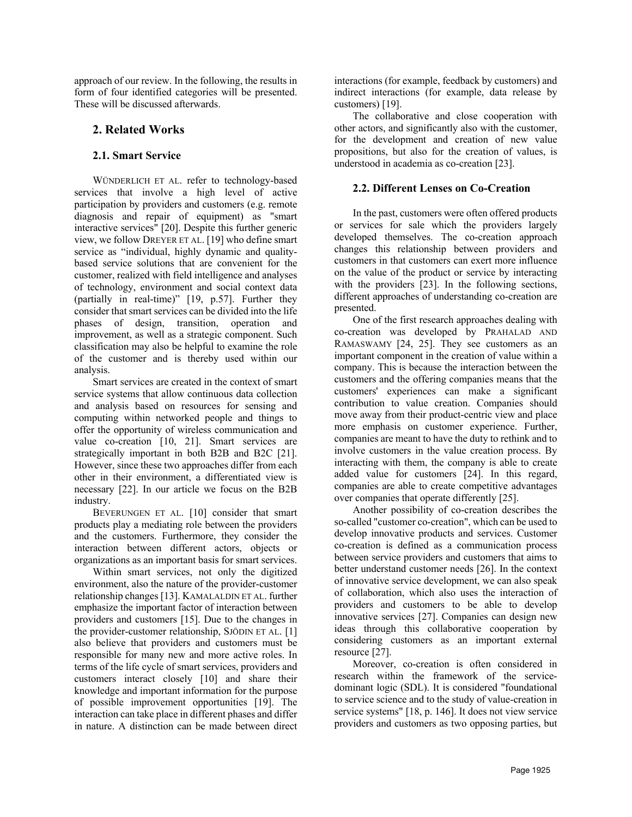approach of our review. In the following, the results in form of four identified categories will be presented. These will be discussed afterwards.

# **2. Related Works**

### **2.1. Smart Service**

WÜNDERLICH ET AL. refer to technology-based services that involve a high level of active participation by providers and customers (e.g. remote diagnosis and repair of equipment) as "smart interactive services" [20]. Despite this further generic view, we follow DREYER ET AL. [19] who define smart service as "individual, highly dynamic and qualitybased service solutions that are convenient for the customer, realized with field intelligence and analyses of technology, environment and social context data (partially in real-time)" [19, p.57]. Further they consider that smart services can be divided into the life phases of design, transition, operation and improvement, as well as a strategic component. Such classification may also be helpful to examine the role of the customer and is thereby used within our analysis.

Smart services are created in the context of smart service systems that allow continuous data collection and analysis based on resources for sensing and computing within networked people and things to offer the opportunity of wireless communication and value co-creation [10, 21]. Smart services are strategically important in both B2B and B2C [21]. However, since these two approaches differ from each other in their environment, a differentiated view is necessary [22]. In our article we focus on the B2B industry.

BEVERUNGEN ET AL. [10] consider that smart products play a mediating role between the providers and the customers. Furthermore, they consider the interaction between different actors, objects or organizations as an important basis for smart services.

Within smart services, not only the digitized environment, also the nature of the provider-customer relationship changes [13]. KAMALALDIN ET AL. further emphasize the important factor of interaction between providers and customers [15]. Due to the changes in the provider-customer relationship, SJÖDIN ET AL. [1] also believe that providers and customers must be responsible for many new and more active roles. In terms of the life cycle of smart services, providers and customers interact closely [10] and share their knowledge and important information for the purpose of possible improvement opportunities [19]. The interaction can take place in different phases and differ in nature. A distinction can be made between direct interactions (for example, feedback by customers) and indirect interactions (for example, data release by customers) [19].

The collaborative and close cooperation with other actors, and significantly also with the customer, for the development and creation of new value propositions, but also for the creation of values, is understood in academia as co-creation [23].

## **2.2. Different Lenses on Co-Creation**

In the past, customers were often offered products or services for sale which the providers largely developed themselves. The co-creation approach changes this relationship between providers and customers in that customers can exert more influence on the value of the product or service by interacting with the providers [23]. In the following sections, different approaches of understanding co-creation are presented.

One of the first research approaches dealing with co-creation was developed by PRAHALAD AND RAMASWAMY [24, 25]. They see customers as an important component in the creation of value within a company. This is because the interaction between the customers and the offering companies means that the customers' experiences can make a significant contribution to value creation. Companies should move away from their product-centric view and place more emphasis on customer experience. Further, companies are meant to have the duty to rethink and to involve customers in the value creation process. By interacting with them, the company is able to create added value for customers [24]. In this regard, companies are able to create competitive advantages over companies that operate differently [25].

Another possibility of co-creation describes the so-called "customer co-creation", which can be used to develop innovative products and services. Customer co-creation is defined as a communication process between service providers and customers that aims to better understand customer needs [26]. In the context of innovative service development, we can also speak of collaboration, which also uses the interaction of providers and customers to be able to develop innovative services [27]. Companies can design new ideas through this collaborative cooperation by considering customers as an important external resource [27].

Moreover, co-creation is often considered in research within the framework of the servicedominant logic (SDL). It is considered "foundational to service science and to the study of value-creation in service systems" [18, p. 146]. It does not view service providers and customers as two opposing parties, but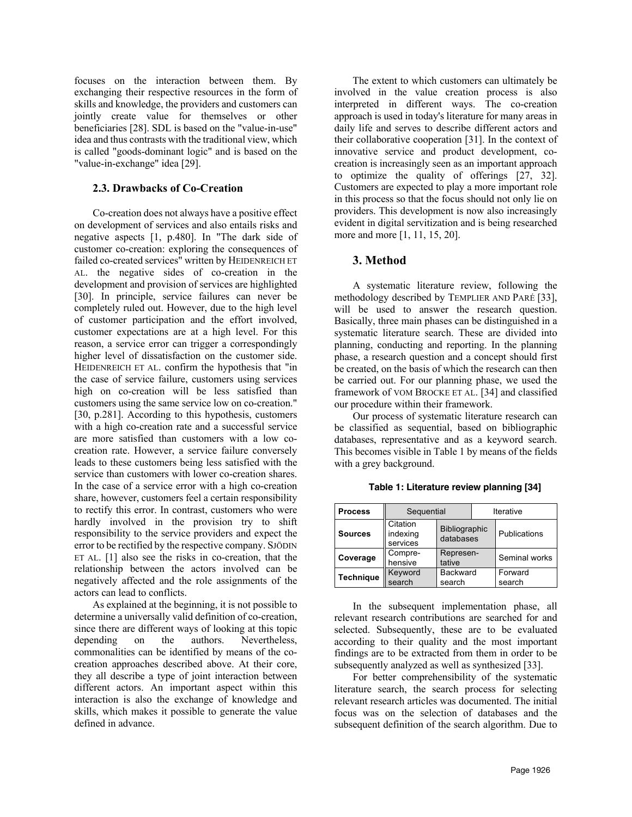focuses on the interaction between them. By exchanging their respective resources in the form of skills and knowledge, the providers and customers can jointly create value for themselves or other beneficiaries [28]. SDL is based on the "value-in-use" idea and thus contrasts with the traditional view, which is called "goods-dominant logic" and is based on the "value-in-exchange" idea [29].

#### **2.3. Drawbacks of Co-Creation**

Co-creation does not always have a positive effect on development of services and also entails risks and negative aspects [1, p.480]. In "The dark side of customer co-creation: exploring the consequences of failed co-created services" written by HEIDENREICH ET AL. the negative sides of co-creation in the development and provision of services are highlighted [30]. In principle, service failures can never be completely ruled out. However, due to the high level of customer participation and the effort involved, customer expectations are at a high level. For this reason, a service error can trigger a correspondingly higher level of dissatisfaction on the customer side. HEIDENREICH ET AL. confirm the hypothesis that "in the case of service failure, customers using services high on co-creation will be less satisfied than customers using the same service low on co-creation." [30, p.281]. According to this hypothesis, customers with a high co-creation rate and a successful service are more satisfied than customers with a low cocreation rate. However, a service failure conversely leads to these customers being less satisfied with the service than customers with lower co-creation shares. In the case of a service error with a high co-creation share, however, customers feel a certain responsibility to rectify this error. In contrast, customers who were hardly involved in the provision try to shift responsibility to the service providers and expect the error to be rectified by the respective company. SJÖDIN ET AL. [1] also see the risks in co-creation, that the relationship between the actors involved can be negatively affected and the role assignments of the actors can lead to conflicts.

As explained at the beginning, it is not possible to determine a universally valid definition of co-creation, since there are different ways of looking at this topic depending on the authors. Nevertheless, commonalities can be identified by means of the cocreation approaches described above. At their core, they all describe a type of joint interaction between different actors. An important aspect within this interaction is also the exchange of knowledge and skills, which makes it possible to generate the value defined in advance.

The extent to which customers can ultimately be involved in the value creation process is also interpreted in different ways. The co-creation approach is used in today's literature for many areas in daily life and serves to describe different actors and their collaborative cooperation [31]. In the context of innovative service and product development, cocreation is increasingly seen as an important approach to optimize the quality of offerings [27, 32]. Customers are expected to play a more important role in this process so that the focus should not only lie on providers. This development is now also increasingly evident in digital servitization and is being researched more and more [1, 11, 15, 20].

#### **3. Method**

A systematic literature review, following the methodology described by TEMPLIER AND PARÉ [33], will be used to answer the research question. Basically, three main phases can be distinguished in a systematic literature search. These are divided into planning, conducting and reporting. In the planning phase, a research question and a concept should first be created, on the basis of which the research can then be carried out. For our planning phase, we used the framework of VOM BROCKE ET AL. [34] and classified our procedure within their framework.

Our process of systematic literature research can be classified as sequential, based on bibliographic databases, representative and as a keyword search. This becomes visible in Table 1 by means of the fields with a grey background.

| <b>Process</b>   | Sequential                       |                            | Iterative |                   |  |  |  |
|------------------|----------------------------------|----------------------------|-----------|-------------------|--|--|--|
| <b>Sources</b>   | Citation<br>indexing<br>services | Bibliographic<br>databases |           | Publications      |  |  |  |
| Coverage         | Compre-<br>hensive               | Represen-<br>tative        |           | Seminal works     |  |  |  |
| <b>Technique</b> | Keyword<br>search                | <b>Backward</b><br>search  |           | Forward<br>search |  |  |  |

**Table 1: Literature review planning [34]**

In the subsequent implementation phase, all relevant research contributions are searched for and selected. Subsequently, these are to be evaluated according to their quality and the most important findings are to be extracted from them in order to be subsequently analyzed as well as synthesized [33].

For better comprehensibility of the systematic literature search, the search process for selecting relevant research articles was documented. The initial focus was on the selection of databases and the subsequent definition of the search algorithm. Due to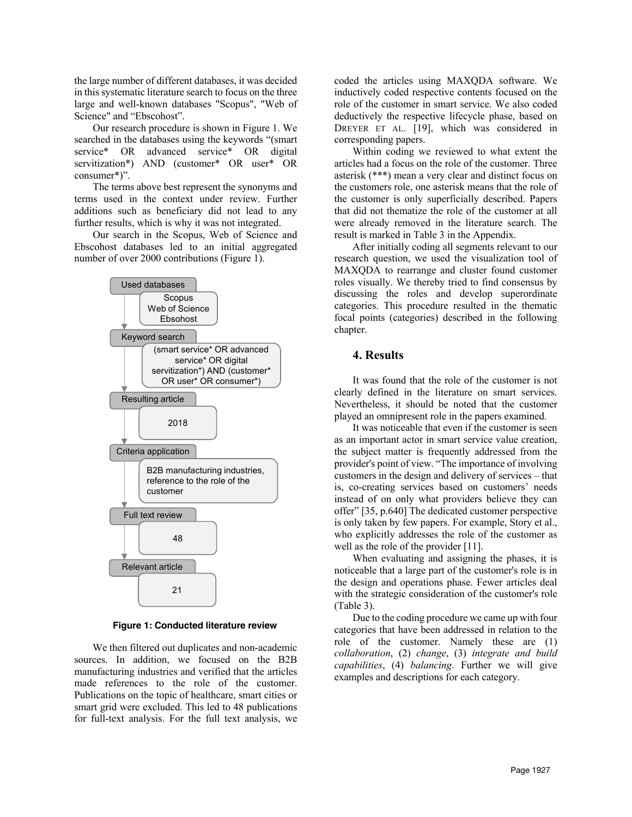the large number of different databases, it was decided in this systematic literature search to focus on the three large and well-known databases "Scopus", "Web of Science" and "Ebscohost".

Our research procedure is shown in Figure 1. We searched in the databases using the keywords "(smart service\* OR advanced service\* OR digital servitization\*) AND (customer\* OR user\* OR consumer\*)".

The terms above best represent the synonyms and terms used in the context under review. Further additions such as beneficiary did not lead to any further results, which is why it was not integrated.

Our search in the Scopus, Web of Science and Ebscohost databases led to an initial aggregated number of over 2000 contributions (Figure 1).



**Figure 1: Conducted literature review**

We then filtered out duplicates and non-academic sources. In addition, we focused on the B2B manufacturing industries and verified that the articles made references to the role of the customer. Publications on the topic of healthcare, smart cities or smart grid were excluded. This led to 48 publications for full-text analysis. For the full text analysis, we coded the articles using MAXQDA software. We inductively coded respective contents focused on the role of the customer in smart service. We also coded deductively the respective lifecycle phase, based on DREYER ET AL. [19], which was considered in corresponding papers.

Within coding we reviewed to what extent the articles had a focus on the role of the customer. Three asterisk (\*\*\*) mean a very clear and distinct focus on the customers role, one asterisk means that the role of the customer is only superficially described. Papers that did not thematize the role of the customer at all were already removed in the literature search. The result is marked in Table 3 in the Appendix.

After initially coding all segments relevant to our research question, we used the visualization tool of MAXQDA to rearrange and cluster found customer roles visually. We thereby tried to find consensus by discussing the roles and develop superordinate categories. This procedure resulted in the thematic focal points (categories) described in the following chapter.

#### **4. Results**

It was found that the role of the customer is not clearly defined in the literature on smart services. Nevertheless, it should be noted that the customer played an omnipresent role in the papers examined.

It was noticeable that even if the customer is seen as an important actor in smart service value creation, the subject matter is frequently addressed from the provider's point of view. "The importance of involving customers in the design and delivery of services – that is, co-creating services based on customers' needs instead of on only what providers believe they can offer" [35, p.640] The dedicated customer perspective is only taken by few papers. For example, Story et al., who explicitly addresses the role of the customer as well as the role of the provider [11].

When evaluating and assigning the phases, it is noticeable that a large part of the customer's role is in the design and operations phase. Fewer articles deal with the strategic consideration of the customer's role (Table 3).

Due to the coding procedure we came up with four categories that have been addressed in relation to the role of the customer. Namely these are (1) *collaboration*, (2) *change*, (3) *integrate and build capabilities*, (4) *balancing*. Further we will give examples and descriptions for each category.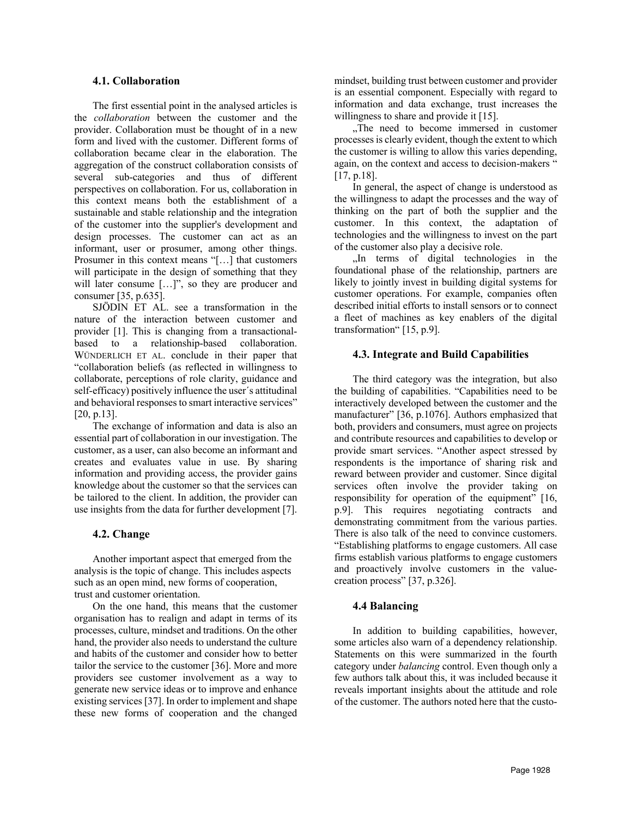#### **4.1. Collaboration**

The first essential point in the analysed articles is the *collaboration* between the customer and the provider. Collaboration must be thought of in a new form and lived with the customer. Different forms of collaboration became clear in the elaboration. The aggregation of the construct collaboration consists of several sub-categories and thus of different perspectives on collaboration. For us, collaboration in this context means both the establishment of a sustainable and stable relationship and the integration of the customer into the supplier's development and design processes. The customer can act as an informant, user or prosumer, among other things. Prosumer in this context means "[…] that customers will participate in the design of something that they will later consume [...]", so they are producer and consumer [35, p.635].

SJÖDIN ET AL. see a transformation in the nature of the interaction between customer and provider [1]. This is changing from a transactionalbased to a relationship-based collaboration. WÜNDERLICH ET AL. conclude in their paper that "collaboration beliefs (as reflected in willingness to collaborate, perceptions of role clarity, guidance and self-efficacy) positively influence the user´s attitudinal and behavioral responses to smart interactive services" [20, p.13].

The exchange of information and data is also an essential part of collaboration in our investigation. The customer, as a user, can also become an informant and creates and evaluates value in use. By sharing information and providing access, the provider gains knowledge about the customer so that the services can be tailored to the client. In addition, the provider can use insights from the data for further development [7].

#### **4.2. Change**

Another important aspect that emerged from the analysis is the topic of change. This includes aspects such as an open mind, new forms of cooperation, trust and customer orientation.

On the one hand, this means that the customer organisation has to realign and adapt in terms of its processes, culture, mindset and traditions. On the other hand, the provider also needs to understand the culture and habits of the customer and consider how to better tailor the service to the customer [36]. More and more providers see customer involvement as a way to generate new service ideas or to improve and enhance existing services[37]. In order to implement and shape these new forms of cooperation and the changed mindset, building trust between customer and provider is an essential component. Especially with regard to information and data exchange, trust increases the willingness to share and provide it [15].

"The need to become immersed in customer. processes is clearly evident, though the extent to which the customer is willing to allow this varies depending, again, on the context and access to decision-makers " [17, p.18].

In general, the aspect of change is understood as the willingness to adapt the processes and the way of thinking on the part of both the supplier and the customer. In this context, the adaptation of technologies and the willingness to invest on the part of the customer also play a decisive role.

"In terms of digital technologies in the foundational phase of the relationship, partners are likely to jointly invest in building digital systems for customer operations. For example, companies often described initial efforts to install sensors or to connect a fleet of machines as key enablers of the digital transformation" [15, p.9].

#### **4.3. Integrate and Build Capabilities**

The third category was the integration, but also the building of capabilities. "Capabilities need to be interactively developed between the customer and the manufacturer" [36, p.1076]. Authors emphasized that both, providers and consumers, must agree on projects and contribute resources and capabilities to develop or provide smart services. "Another aspect stressed by respondents is the importance of sharing risk and reward between provider and customer. Since digital services often involve the provider taking on responsibility for operation of the equipment" [16, p.9]. This requires negotiating contracts and demonstrating commitment from the various parties. There is also talk of the need to convince customers. "Establishing platforms to engage customers. All case firms establish various platforms to engage customers and proactively involve customers in the valuecreation process" [37, p.326].

#### **4.4 Balancing**

In addition to building capabilities, however, some articles also warn of a dependency relationship. Statements on this were summarized in the fourth category under *balancing* control. Even though only a few authors talk about this, it was included because it reveals important insights about the attitude and role of the customer. The authors noted here that the custo-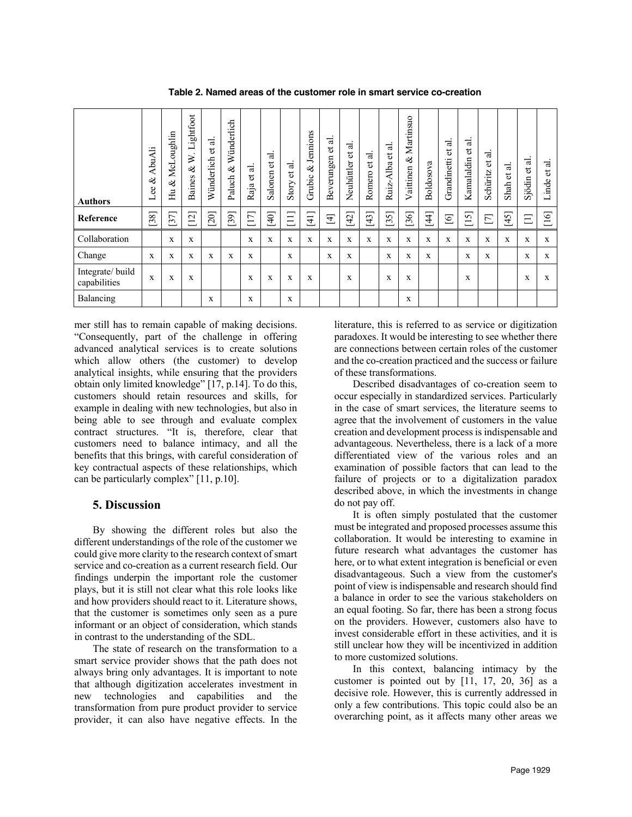| <b>Authors</b>                  | AbuAli<br>ళ<br>Lee | oughlin<br>NeL<br>$\infty$<br>Hu | Lightfoot<br>$\geq$<br>∛<br>Baines | ನ<br>$\overline{b}$<br>Wünderlich | Wünderlich<br>$\infty$<br>Paluch | ನ<br>đ<br>Raja      | ನ<br>$\overline{\mathtt{c}}$<br>Salonen | ಸ<br>$\vec{c}$<br>Story | Jennions<br>ಜ<br>Grubic | ಡ<br>đ<br>Beverungen | ಕ<br>$\vec{c}$<br>Neuhüttler | ನ<br>đ<br>Romero | ಡ<br>$\overleftrightarrow{\textbf{c}}$<br>Alba<br>Ruiz. | Martinsuo<br>ళ<br>Vaittinen | Boldosova | ನ<br>đ<br>Grandinetti | ನ<br>$\overline{b}$<br>Kamalaldin | ನ<br>$\overleftrightarrow{\mathbf{0}}$<br>Schüritz | ಡ<br>$\vec{c}$<br>Shah | ನ<br>$\vec{c}$<br>Sjödin | ಕ<br>ಕ<br>Linde |
|---------------------------------|--------------------|----------------------------------|------------------------------------|-----------------------------------|----------------------------------|---------------------|-----------------------------------------|-------------------------|-------------------------|----------------------|------------------------------|------------------|---------------------------------------------------------|-----------------------------|-----------|-----------------------|-----------------------------------|----------------------------------------------------|------------------------|--------------------------|-----------------|
| Reference                       | $[38]$             | $[37]$                           | $[12]$                             | [20]                              | $[39]$                           | $\overline{7}$<br>ᆖ | $[40]$                                  | $\Xi$                   | $[41]$                  | $\overline{4}$       | $[42]$                       | $[43]$           | 57<br>്                                                 | $[36]$                      | $[44]$    | $\overline{6}$        | $[15]$                            | $\Box$                                             | $[45]$                 | Ξ                        | 6<br>二          |
| Collaboration                   |                    | X                                | X                                  |                                   |                                  | X                   | X                                       | X                       | X                       | X                    | X                            | X                | X                                                       | X                           | X         | X                     | X                                 | X                                                  | X                      | $\mathbf x$              | X               |
| Change                          | X                  | X                                | X                                  | X                                 | X                                | X                   |                                         | X                       |                         | X                    | X                            |                  | X                                                       | X                           | X         |                       | X                                 | X                                                  |                        | X                        | X               |
| Integrate/build<br>capabilities | X                  | X                                | X                                  |                                   |                                  | X                   | X                                       | X                       | X                       |                      | X                            |                  | X                                                       | X                           |           |                       | X                                 |                                                    |                        | X                        | X               |
| Balancing                       |                    |                                  |                                    | X                                 |                                  | X                   |                                         | X                       |                         |                      |                              |                  |                                                         | X                           |           |                       |                                   |                                                    |                        |                          |                 |

**Table 2. Named areas of the customer role in smart service co-creation**

mer still has to remain capable of making decisions. "Consequently, part of the challenge in offering advanced analytical services is to create solutions which allow others (the customer) to develop analytical insights, while ensuring that the providers obtain only limited knowledge" [17, p.14]. To do this, customers should retain resources and skills, for example in dealing with new technologies, but also in being able to see through and evaluate complex contract structures. "It is, therefore, clear that customers need to balance intimacy, and all the benefits that this brings, with careful consideration of key contractual aspects of these relationships, which can be particularly complex" [11, p.10].

## **5. Discussion**

By showing the different roles but also the different understandings of the role of the customer we could give more clarity to the research context of smart service and co-creation as a current research field. Our findings underpin the important role the customer plays, but it is still not clear what this role looks like and how providers should react to it. Literature shows, that the customer is sometimes only seen as a pure informant or an object of consideration, which stands in contrast to the understanding of the SDL.

The state of research on the transformation to a smart service provider shows that the path does not always bring only advantages. It is important to note that although digitization accelerates investment in new technologies and capabilities and the transformation from pure product provider to service provider, it can also have negative effects. In the literature, this is referred to as service or digitization paradoxes. It would be interesting to see whether there are connections between certain roles of the customer and the co-creation practiced and the success or failure of these transformations.

Described disadvantages of co-creation seem to occur especially in standardized services. Particularly in the case of smart services, the literature seems to agree that the involvement of customers in the value creation and development process is indispensable and advantageous. Nevertheless, there is a lack of a more differentiated view of the various roles and an examination of possible factors that can lead to the failure of projects or to a digitalization paradox described above, in which the investments in change do not pay off.

It is often simply postulated that the customer must be integrated and proposed processes assume this collaboration. It would be interesting to examine in future research what advantages the customer has here, or to what extent integration is beneficial or even disadvantageous. Such a view from the customer's point of view is indispensable and research should find a balance in order to see the various stakeholders on an equal footing. So far, there has been a strong focus on the providers. However, customers also have to invest considerable effort in these activities, and it is still unclear how they will be incentivized in addition to more customized solutions.

In this context, balancing intimacy by the customer is pointed out by [11, 17, 20, 36] as a decisive role. However, this is currently addressed in only a few contributions. This topic could also be an overarching point, as it affects many other areas we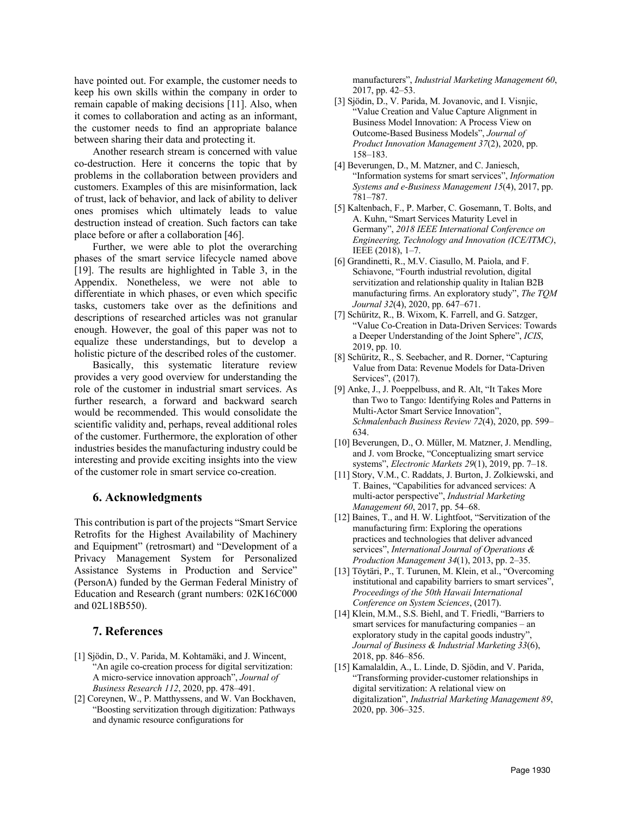have pointed out. For example, the customer needs to keep his own skills within the company in order to remain capable of making decisions [11]. Also, when it comes to collaboration and acting as an informant, the customer needs to find an appropriate balance between sharing their data and protecting it.

Another research stream is concerned with value co-destruction. Here it concerns the topic that by problems in the collaboration between providers and customers. Examples of this are misinformation, lack of trust, lack of behavior, and lack of ability to deliver ones promises which ultimately leads to value destruction instead of creation. Such factors can take place before or after a collaboration [46].

Further, we were able to plot the overarching phases of the smart service lifecycle named above [19]. The results are highlighted in Table 3, in the Appendix. Nonetheless, we were not able to differentiate in which phases, or even which specific tasks, customers take over as the definitions and descriptions of researched articles was not granular enough. However, the goal of this paper was not to equalize these understandings, but to develop a holistic picture of the described roles of the customer.

Basically, this systematic literature review provides a very good overview for understanding the role of the customer in industrial smart services. As further research, a forward and backward search would be recommended. This would consolidate the scientific validity and, perhaps, reveal additional roles of the customer. Furthermore, the exploration of other industries besides the manufacturing industry could be interesting and provide exciting insights into the view of the customer role in smart service co-creation.

#### **6. Acknowledgments**

This contribution is part of the projects "Smart Service Retrofits for the Highest Availability of Machinery and Equipment" (retrosmart) and "Development of a Privacy Management System for Personalized Assistance Systems in Production and Service" (PersonA) funded by the German Federal Ministry of Education and Research (grant numbers: 02K16C000 and 02L18B550).

#### **7. References**

- [1] Sjödin, D., V. Parida, M. Kohtamäki, and J. Wincent, "An agile co-creation process for digital servitization: A micro-service innovation approach", *Journal of Business Research 112*, 2020, pp. 478–491.
- [2] Coreynen, W., P. Matthyssens, and W. Van Bockhaven, "Boosting servitization through digitization: Pathways and dynamic resource configurations for

manufacturers", *Industrial Marketing Management 60*, 2017, pp. 42–53.

- [3] Sjödin, D., V. Parida, M. Jovanovic, and I. Visnjic, "Value Creation and Value Capture Alignment in Business Model Innovation: A Process View on Outcome‐Based Business Models", *Journal of Product Innovation Management 37*(2), 2020, pp. 158–183.
- [4] Beverungen, D., M. Matzner, and C. Janiesch, "Information systems for smart services", *Information Systems and e-Business Management 15*(4), 2017, pp. 781–787.
- [5] Kaltenbach, F., P. Marber, C. Gosemann, T. Bolts, and A. Kuhn, "Smart Services Maturity Level in Germany", *2018 IEEE International Conference on Engineering, Technology and Innovation (ICE/ITMC)*, IEEE (2018), 1–7.
- [6] Grandinetti, R., M.V. Ciasullo, M. Paiola, and F. Schiavone, "Fourth industrial revolution, digital servitization and relationship quality in Italian B2B manufacturing firms. An exploratory study", *The TQM Journal 32*(4), 2020, pp. 647–671.
- [7] Schüritz, R., B. Wixom, K. Farrell, and G. Satzger, "Value Co-Creation in Data-Driven Services: Towards a Deeper Understanding of the Joint Sphere", *ICIS*, 2019, pp. 10.
- [8] Schüritz, R., S. Seebacher, and R. Dorner, "Capturing Value from Data: Revenue Models for Data-Driven Services", (2017).
- [9] Anke, J., J. Poeppelbuss, and R. Alt, "It Takes More than Two to Tango: Identifying Roles and Patterns in Multi-Actor Smart Service Innovation", *Schmalenbach Business Review 72*(4), 2020, pp. 599– 634.
- [10] Beverungen, D., O. Müller, M. Matzner, J. Mendling, and J. vom Brocke, "Conceptualizing smart service systems", *Electronic Markets 29*(1), 2019, pp. 7–18.
- [11] Story, V.M., C. Raddats, J. Burton, J. Zolkiewski, and T. Baines, "Capabilities for advanced services: A multi-actor perspective", *Industrial Marketing Management 60*, 2017, pp. 54–68.
- [12] Baines, T., and H. W. Lightfoot, "Servitization of the manufacturing firm: Exploring the operations practices and technologies that deliver advanced services", *International Journal of Operations & Production Management 34*(1), 2013, pp. 2–35.
- [13] Töytäri, P., T. Turunen, M. Klein, et al., "Overcoming institutional and capability barriers to smart services", *Proceedings of the 50th Hawaii International Conference on System Sciences*, (2017).
- [14] Klein, M.M., S.S. Biehl, and T. Friedli, "Barriers to smart services for manufacturing companies – an exploratory study in the capital goods industry", *Journal of Business & Industrial Marketing 33*(6), 2018, pp. 846–856.
- [15] Kamalaldin, A., L. Linde, D. Sjödin, and V. Parida, "Transforming provider-customer relationships in digital servitization: A relational view on digitalization", *Industrial Marketing Management 89*, 2020, pp. 306–325.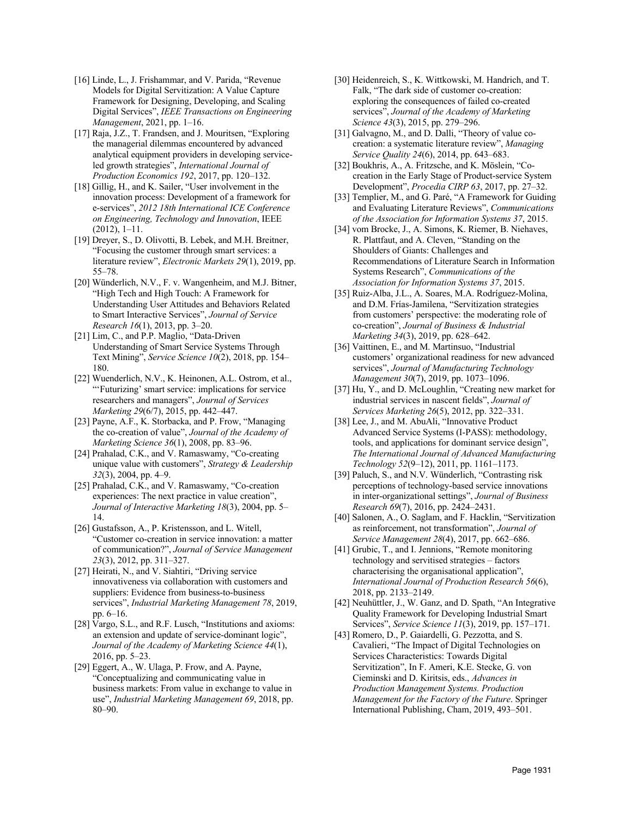- [16] Linde, L., J. Frishammar, and V. Parida, "Revenue Models for Digital Servitization: A Value Capture Framework for Designing, Developing, and Scaling Digital Services", *IEEE Transactions on Engineering Management*, 2021, pp. 1–16.
- [17] Raja, J.Z., T. Frandsen, and J. Mouritsen, "Exploring the managerial dilemmas encountered by advanced analytical equipment providers in developing serviceled growth strategies", *International Journal of Production Economics 192*, 2017, pp. 120–132.
- [18] Gillig, H., and K. Sailer, "User involvement in the innovation process: Development of a framework for e-services", *2012 18th International ICE Conference on Engineering, Technology and Innovation*, IEEE (2012), 1–11.
- [19] Dreyer, S., D. Olivotti, B. Lebek, and M.H. Breitner, "Focusing the customer through smart services: a literature review", *Electronic Markets 29*(1), 2019, pp. 55–78.
- [20] Wünderlich, N.V., F. v. Wangenheim, and M.J. Bitner, "High Tech and High Touch: A Framework for Understanding User Attitudes and Behaviors Related to Smart Interactive Services", *Journal of Service Research 16*(1), 2013, pp. 3–20.
- [21] Lim, C., and P.P. Maglio, "Data-Driven Understanding of Smart Service Systems Through Text Mining", *Service Science 10*(2), 2018, pp. 154– 180.
- [22] Wuenderlich, N.V., K. Heinonen, A.L. Ostrom, et al., "'Futurizing' smart service: implications for service researchers and managers", *Journal of Services Marketing 29*(6/7), 2015, pp. 442–447.
- [23] Payne, A.F., K. Storbacka, and P. Frow, "Managing the co-creation of value", *Journal of the Academy of Marketing Science 36*(1), 2008, pp. 83–96.
- [24] Prahalad, C.K., and V. Ramaswamy, "Co-creating unique value with customers", *Strategy & Leadership 32*(3), 2004, pp. 4–9.
- [25] Prahalad, C.K., and V. Ramaswamy, "Co-creation experiences: The next practice in value creation", *Journal of Interactive Marketing 18*(3), 2004, pp. 5– 14.
- [26] Gustafsson, A., P. Kristensson, and L. Witell, "Customer co‐creation in service innovation: a matter of communication?", *Journal of Service Management 23*(3), 2012, pp. 311–327.
- [27] Heirati, N., and V. Siahtiri, "Driving service innovativeness via collaboration with customers and suppliers: Evidence from business-to-business services", *Industrial Marketing Management 78*, 2019, pp. 6–16.
- [28] Vargo, S.L., and R.F. Lusch, "Institutions and axioms: an extension and update of service-dominant logic", *Journal of the Academy of Marketing Science 44*(1), 2016, pp. 5–23.
- [29] Eggert, A., W. Ulaga, P. Frow, and A. Payne, "Conceptualizing and communicating value in business markets: From value in exchange to value in use", *Industrial Marketing Management 69*, 2018, pp. 80–90.
- [30] Heidenreich, S., K. Wittkowski, M. Handrich, and T. Falk, "The dark side of customer co-creation: exploring the consequences of failed co-created services", *Journal of the Academy of Marketing Science 43*(3), 2015, pp. 279–296.
- [31] Galvagno, M., and D. Dalli, "Theory of value cocreation: a systematic literature review", *Managing Service Quality 24*(6), 2014, pp. 643–683.
- [32] Boukhris, A., A. Fritzsche, and K. Möslein, "Cocreation in the Early Stage of Product-service System Development", *Procedia CIRP 63*, 2017, pp. 27–32.
- [33] Templier, M., and G. Paré, "A Framework for Guiding and Evaluating Literature Reviews", *Communications of the Association for Information Systems 37*, 2015.
- [34] vom Brocke, J., A. Simons, K. Riemer, B. Niehaves, R. Plattfaut, and A. Cleven, "Standing on the Shoulders of Giants: Challenges and Recommendations of Literature Search in Information Systems Research", *Communications of the Association for Information Systems 37*, 2015.
- [35] Ruiz-Alba, J.L., A. Soares, M.A. Rodríguez-Molina, and D.M. Frías-Jamilena, "Servitization strategies from customers' perspective: the moderating role of co-creation", *Journal of Business & Industrial Marketing 34*(3), 2019, pp. 628–642.
- [36] Vaittinen, E., and M. Martinsuo, "Industrial customers' organizational readiness for new advanced services", *Journal of Manufacturing Technology Management 30*(7), 2019, pp. 1073–1096.
- [37] Hu, Y., and D. McLoughlin, "Creating new market for industrial services in nascent fields", *Journal of Services Marketing 26*(5), 2012, pp. 322–331.
- [38] Lee, J., and M. AbuAli, "Innovative Product Advanced Service Systems (I-PASS): methodology, tools, and applications for dominant service design", *The International Journal of Advanced Manufacturing Technology 52*(9–12), 2011, pp. 1161–1173.
- [39] Paluch, S., and N.V. Wünderlich, "Contrasting risk perceptions of technology-based service innovations in inter-organizational settings", *Journal of Business Research 69*(7), 2016, pp. 2424–2431.
- [40] Salonen, A., O. Saglam, and F. Hacklin, "Servitization as reinforcement, not transformation", *Journal of Service Management 28*(4), 2017, pp. 662–686.
- [41] Grubic, T., and I. Jennions, "Remote monitoring technology and servitised strategies – factors characterising the organisational application", *International Journal of Production Research 56*(6), 2018, pp. 2133–2149.
- [42] Neuhüttler, J., W. Ganz, and D. Spath, "An Integrative Quality Framework for Developing Industrial Smart Services", *Service Science 11*(3), 2019, pp. 157–171.
- [43] Romero, D., P. Gaiardelli, G. Pezzotta, and S. Cavalieri, "The Impact of Digital Technologies on Services Characteristics: Towards Digital Servitization", In F. Ameri, K.E. Stecke, G. von Cieminski and D. Kiritsis, eds., *Advances in Production Management Systems. Production Management for the Factory of the Future*. Springer International Publishing, Cham, 2019, 493–501.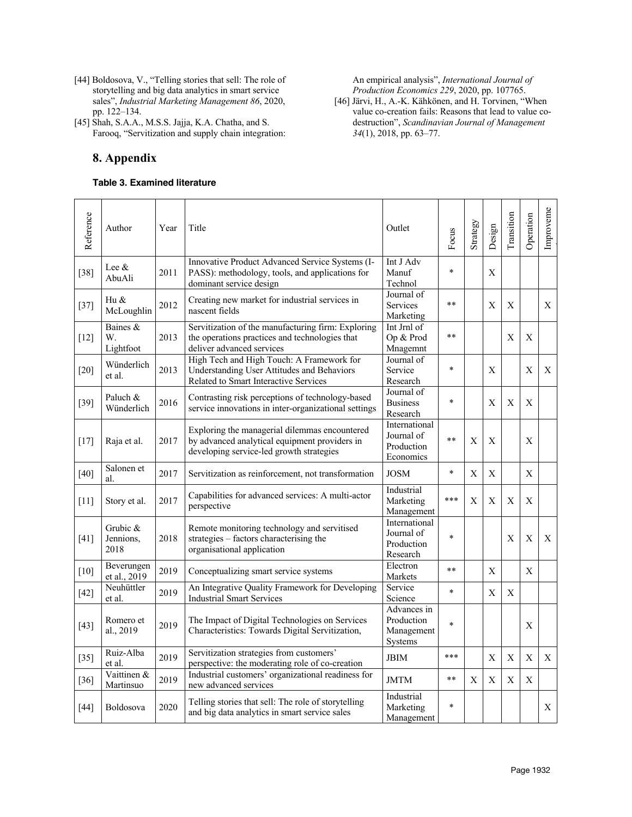- [44] Boldosova, V., "Telling stories that sell: The role of storytelling and big data analytics in smart service sales", *Industrial Marketing Management 86*, 2020, pp. 122–134.
- [45] Shah, S.A.A., M.S.S. Jajja, K.A. Chatha, and S. Farooq, "Servitization and supply chain integration:

## **8. Appendix**

#### **Table 3. Examined literature**

#### An empirical analysis", *International Journal of Production Economics 229*, 2020, pp. 107765.

[46] Järvi, H., A.-K. Kähkönen, and H. Torvinen, "When value co-creation fails: Reasons that lead to value codestruction", *Scandinavian Journal of Management 34*(1), 2018, pp. 63–77.

| Reference | Author                        | Year | Title                                                                                                                                      | Outlet                                                 | Focus  | Strategy | Design      | Transition   | Operation                 | Improveme   |
|-----------|-------------------------------|------|--------------------------------------------------------------------------------------------------------------------------------------------|--------------------------------------------------------|--------|----------|-------------|--------------|---------------------------|-------------|
| $[38]$    | Lee &<br>AbuAli               | 2011 | Innovative Product Advanced Service Systems (I-<br>PASS): methodology, tools, and applications for<br>dominant service design              | Int J Adv<br>Manuf<br>Technol                          | $\ast$ |          | X           |              |                           |             |
| $[37]$    | Hu &<br>McLoughlin            | 2012 | Creating new market for industrial services in<br>nascent fields                                                                           | Journal of<br>Services<br>Marketing                    | **     |          | X           | X            |                           | X           |
| $[12]$    | Baines &<br>W.<br>Lightfoot   | 2013 | Servitization of the manufacturing firm: Exploring<br>the operations practices and technologies that<br>deliver advanced services          | Int Jrnl of<br>Op & Prod<br>Mnagemnt                   | $**$   |          |             | X            | X                         |             |
| $[20]$    | Wünderlich<br>et al.          | 2013 | High Tech and High Touch: A Framework for<br>Understanding User Attitudes and Behaviors<br>Related to Smart Interactive Services           | Journal of<br>Service<br>Research                      | $\ast$ |          | Χ           |              | Χ                         | X           |
| $[39]$    | Paluch &<br>Wünderlich        | 2016 | Contrasting risk perceptions of technology-based<br>service innovations in inter-organizational settings                                   | Journal of<br><b>Business</b><br>Research              | $\ast$ |          | X           | X            | X                         |             |
| $[17]$    | Raja et al.                   | 2017 | Exploring the managerial dilemmas encountered<br>by advanced analytical equipment providers in<br>developing service-led growth strategies | International<br>Journal of<br>Production<br>Economics | $***$  | X        | X           |              | X                         |             |
| $[40]$    | Salonen et<br>al.             | 2017 | Servitization as reinforcement, not transformation                                                                                         | <b>JOSM</b>                                            | $\ast$ | X        | $\mathbf X$ |              | X                         |             |
| $[11]$    | Story et al.                  | 2017 | Capabilities for advanced services: A multi-actor<br>perspective                                                                           | Industrial<br>Marketing<br>Management                  | ***    | X        | X           | X            | X                         |             |
| $[41]$    | Grubic &<br>Jennions,<br>2018 | 2018 | Remote monitoring technology and servitised<br>strategies - factors characterising the<br>organisational application                       | International<br>Journal of<br>Production<br>Research  | $\ast$ |          |             | X            | X                         | X           |
| $[10]$    | Beverungen<br>et al., 2019    | 2019 | Conceptualizing smart service systems                                                                                                      | Electron<br>Markets                                    | **     |          | X           |              | X                         |             |
| $[42]$    | Neuhüttler<br>et al.          | 2019 | An Integrative Quality Framework for Developing<br><b>Industrial Smart Services</b>                                                        | Service<br>Science                                     | $\ast$ |          | X           | $\mathbf{X}$ |                           |             |
| $[43]$    | Romero et<br>al., 2019        | 2019 | The Impact of Digital Technologies on Services<br>Characteristics: Towards Digital Servitization,                                          | Advances in<br>Production<br>Management<br>Systems     | $\ast$ |          |             |              | X                         |             |
| $[35]$    | Ruiz-Alba<br>et al.           | 2019 | Servitization strategies from customers'<br>perspective: the moderating role of co-creation                                                | <b>JBIM</b>                                            | ***    |          | X           | $\mathbf X$  | $\boldsymbol{\mathrm{X}}$ | $\mathbf X$ |
| $[36]$    | Vaittinen &<br>Martinsuo      | 2019 | Industrial customers' organizational readiness for<br>new advanced services                                                                | <b>JMTM</b>                                            | $**$   | X        | X           | $\mathbf X$  | $\mathbf X$               |             |
| $[44]$    | Boldosova                     | 2020 | Telling stories that sell: The role of storytelling<br>and big data analytics in smart service sales                                       | Industrial<br>Marketing<br>Management                  | $\ast$ |          |             |              |                           | Χ           |